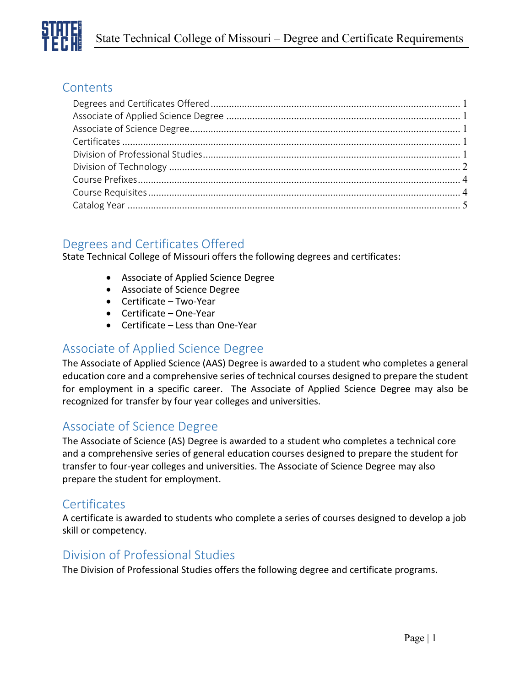

## **Contents**

# <span id="page-0-0"></span>Degrees and Certificates Offered

State Technical College of Missouri offers the following degrees and certificates:

- Associate of Applied Science Degree
- Associate of Science Degree
- Certificate Two-Year
- Certificate One-Year
- Certificate Less than One-Year

## <span id="page-0-1"></span>Associate of Applied Science Degree

The Associate of Applied Science (AAS) Degree is awarded to a student who completes a general education core and a comprehensive series of technical courses designed to prepare the student for employment in a specific career. The Associate of Applied Science Degree may also be recognized for transfer by four year colleges and universities.

## <span id="page-0-2"></span>Associate of Science Degree

The Associate of Science (AS) Degree is awarded to a student who completes a technical core and a comprehensive series of general education courses designed to prepare the student for transfer to four-year colleges and universities. The Associate of Science Degree may also prepare the student for employment.

## <span id="page-0-3"></span>**Certificates**

A certificate is awarded to students who complete a series of courses designed to develop a job skill or competency.

## <span id="page-0-4"></span>Division of Professional Studies

The Division of Professional Studies offers the following degree and certificate programs.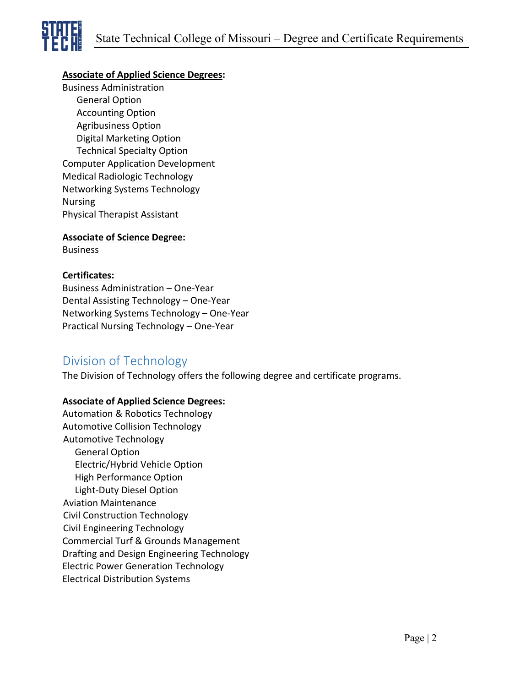## **Associate of Applied Science Degrees:**

Business Administration General Option Accounting Option Agribusiness Option Digital Marketing Option Technical Specialty Option Computer Application Development Medical Radiologic Technology Networking Systems Technology Nursing Physical Therapist Assistant

**Associate of Science Degree:**

Business

## **Certificates:**

Business Administration – One-Year Dental Assisting Technology – One-Year Networking Systems Technology – One-Year Practical Nursing Technology – One-Year

## <span id="page-1-0"></span>Division of Technology

The Division of Technology offers the following degree and certificate programs.

## **Associate of Applied Science Degrees:**

Automation & Robotics Technology Automotive Collision Technology Automotive Technology General Option Electric/Hybrid Vehicle Option High Performance Option Light-Duty Diesel Option Aviation Maintenance Civil Construction Technology Civil Engineering Technology Commercial Turf & Grounds Management Drafting and Design Engineering Technology Electric Power Generation Technology Electrical Distribution Systems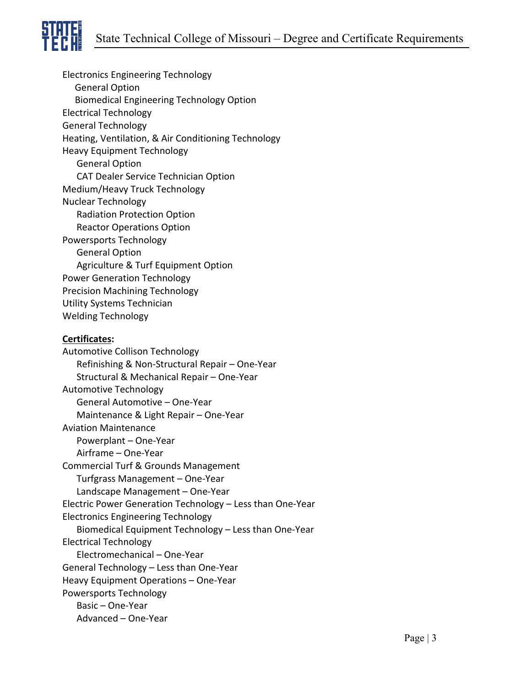

Electronics Engineering Technology General Option Biomedical Engineering Technology Option Electrical Technology General Technology Heating, Ventilation, & Air Conditioning Technology Heavy Equipment Technology General Option CAT Dealer Service Technician Option Medium/Heavy Truck Technology Nuclear Technology Radiation Protection Option Reactor Operations Option Powersports Technology General Option Agriculture & Turf Equipment Option Power Generation Technology Precision Machining Technology Utility Systems Technician Welding Technology

#### **Certificates:**

Automotive Collison Technology Refinishing & Non-Structural Repair – One-Year Structural & Mechanical Repair – One-Year Automotive Technology General Automotive – One-Year Maintenance & Light Repair – One-Year Aviation Maintenance Powerplant – One-Year Airframe – One-Year Commercial Turf & Grounds Management Turfgrass Management – One-Year Landscape Management – One-Year Electric Power Generation Technology – Less than One-Year Electronics Engineering Technology Biomedical Equipment Technology – Less than One-Year Electrical Technology Electromechanical – One-Year General Technology – Less than One-Year Heavy Equipment Operations – One-Year Powersports Technology Basic – One-Year Advanced – One-Year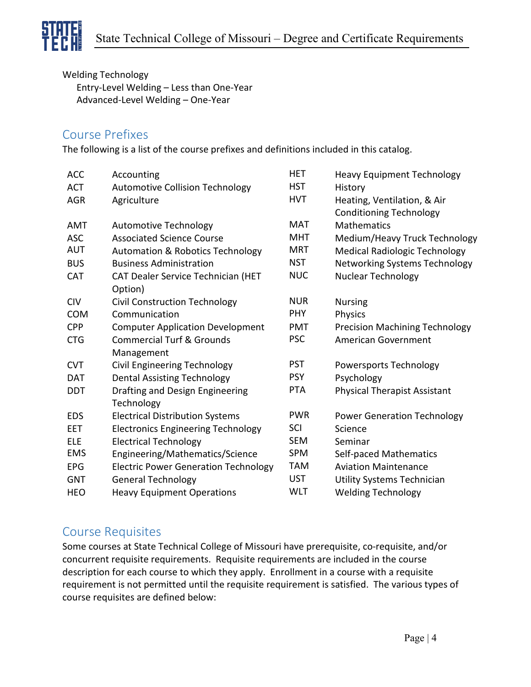

Welding Technology Entry-Level Welding – Less than One-Year Advanced-Level Welding – One-Year

## <span id="page-3-0"></span>Course Prefixes

The following is a list of the course prefixes and definitions included in this catalog.

| <b>ACC</b> | Accounting                                  | <b>HET</b> | <b>Heavy Equipment Technology</b>     |
|------------|---------------------------------------------|------------|---------------------------------------|
| <b>ACT</b> | <b>Automotive Collision Technology</b>      | <b>HST</b> | History                               |
| <b>AGR</b> | Agriculture                                 | <b>HVT</b> | Heating, Ventilation, & Air           |
|            |                                             |            | <b>Conditioning Technology</b>        |
| <b>AMT</b> | <b>Automotive Technology</b>                | <b>MAT</b> | <b>Mathematics</b>                    |
| <b>ASC</b> | <b>Associated Science Course</b>            | <b>MHT</b> | Medium/Heavy Truck Technology         |
| <b>AUT</b> | <b>Automation &amp; Robotics Technology</b> | <b>MRT</b> | <b>Medical Radiologic Technology</b>  |
| <b>BUS</b> | <b>Business Administration</b>              | <b>NST</b> | Networking Systems Technology         |
| <b>CAT</b> | CAT Dealer Service Technician (HET          | <b>NUC</b> | Nuclear Technology                    |
|            | Option)                                     |            |                                       |
| <b>CIV</b> | <b>Civil Construction Technology</b>        | <b>NUR</b> | <b>Nursing</b>                        |
| <b>COM</b> | Communication                               | <b>PHY</b> | Physics                               |
| <b>CPP</b> | <b>Computer Application Development</b>     | <b>PMT</b> | <b>Precision Machining Technology</b> |
| <b>CTG</b> | <b>Commercial Turf &amp; Grounds</b>        | <b>PSC</b> | <b>American Government</b>            |
|            | Management                                  |            |                                       |
| <b>CVT</b> | Civil Engineering Technology                | <b>PST</b> | Powersports Technology                |
| <b>DAT</b> | <b>Dental Assisting Technology</b>          | <b>PSY</b> | Psychology                            |
| <b>DDT</b> | Drafting and Design Engineering             | <b>PTA</b> | <b>Physical Therapist Assistant</b>   |
|            | Technology                                  |            |                                       |
| <b>EDS</b> | <b>Electrical Distribution Systems</b>      | <b>PWR</b> | <b>Power Generation Technology</b>    |
| EET        | <b>Electronics Engineering Technology</b>   | SCI        | Science                               |
| <b>ELE</b> | <b>Electrical Technology</b>                | <b>SEM</b> | Seminar                               |
| <b>EMS</b> | Engineering/Mathematics/Science             | <b>SPM</b> | Self-paced Mathematics                |
| <b>EPG</b> | <b>Electric Power Generation Technology</b> | <b>TAM</b> | <b>Aviation Maintenance</b>           |
| <b>GNT</b> | <b>General Technology</b>                   | <b>UST</b> | Utility Systems Technician            |
| <b>HEO</b> | <b>Heavy Equipment Operations</b>           | <b>WLT</b> | <b>Welding Technology</b>             |

## <span id="page-3-1"></span>Course Requisites

Some courses at State Technical College of Missouri have prerequisite, co-requisite, and/or concurrent requisite requirements. Requisite requirements are included in the course description for each course to which they apply. Enrollment in a course with a requisite requirement is not permitted until the requisite requirement is satisfied. The various types of course requisites are defined below: